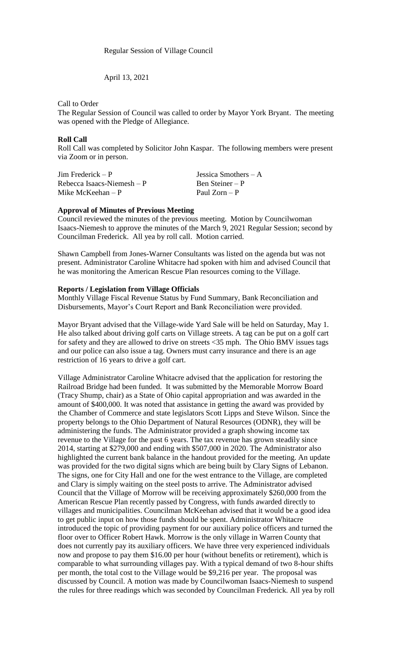Regular Session of Village Council

April 13, 2021

Call to Order

The Regular Session of Council was called to order by Mayor York Bryant. The meeting was opened with the Pledge of Allegiance.

### **Roll Call**

Roll Call was completed by Solicitor John Kaspar. The following members were present via Zoom or in person.

Jim Frederick – P Jessica Smothers – A  $Rebecca Isaacs-Niemesh - P$  Ben Steiner – P Mike McKeehan – P Paul Zorn – P

# **Approval of Minutes of Previous Meeting**

Council reviewed the minutes of the previous meeting. Motion by Councilwoman Isaacs-Niemesh to approve the minutes of the March 9, 2021 Regular Session; second by Councilman Frederick. All yea by roll call. Motion carried.

Shawn Campbell from Jones-Warner Consultants was listed on the agenda but was not present. Administrator Caroline Whitacre had spoken with him and advised Council that he was monitoring the American Rescue Plan resources coming to the Village.

#### **Reports / Legislation from Village Officials**

Monthly Village Fiscal Revenue Status by Fund Summary, Bank Reconciliation and Disbursements, Mayor's Court Report and Bank Reconciliation were provided.

Mayor Bryant advised that the Village-wide Yard Sale will be held on Saturday, May 1. He also talked about driving golf carts on Village streets. A tag can be put on a golf cart for safety and they are allowed to drive on streets <35 mph. The Ohio BMV issues tags and our police can also issue a tag. Owners must carry insurance and there is an age restriction of 16 years to drive a golf cart.

Village Administrator Caroline Whitacre advised that the application for restoring the Railroad Bridge had been funded. It was submitted by the Memorable Morrow Board (Tracy Shump, chair) as a State of Ohio capital appropriation and was awarded in the amount of \$400,000. It was noted that assistance in getting the award was provided by the Chamber of Commerce and state legislators Scott Lipps and Steve Wilson. Since the property belongs to the Ohio Department of Natural Resources (ODNR), they will be administering the funds. The Administrator provided a graph showing income tax revenue to the Village for the past 6 years. The tax revenue has grown steadily since 2014, starting at \$279,000 and ending with \$507,000 in 2020. The Administrator also highlighted the current bank balance in the handout provided for the meeting. An update was provided for the two digital signs which are being built by Clary Signs of Lebanon. The signs, one for City Hall and one for the west entrance to the Village, are completed and Clary is simply waiting on the steel posts to arrive. The Administrator advised Council that the Village of Morrow will be receiving approximately \$260,000 from the American Rescue Plan recently passed by Congress, with funds awarded directly to villages and municipalities. Councilman McKeehan advised that it would be a good idea to get public input on how those funds should be spent. Administrator Whitacre introduced the topic of providing payment for our auxiliary police officers and turned the floor over to Officer Robert Hawk. Morrow is the only village in Warren County that does not currently pay its auxiliary officers. We have three very experienced individuals now and propose to pay them \$16.00 per hour (without benefits or retirement), which is comparable to what surrounding villages pay. With a typical demand of two 8-hour shifts per month, the total cost to the Village would be \$9,216 per year. The proposal was discussed by Council. A motion was made by Councilwoman Isaacs-Niemesh to suspend the rules for three readings which was seconded by Councilman Frederick. All yea by roll